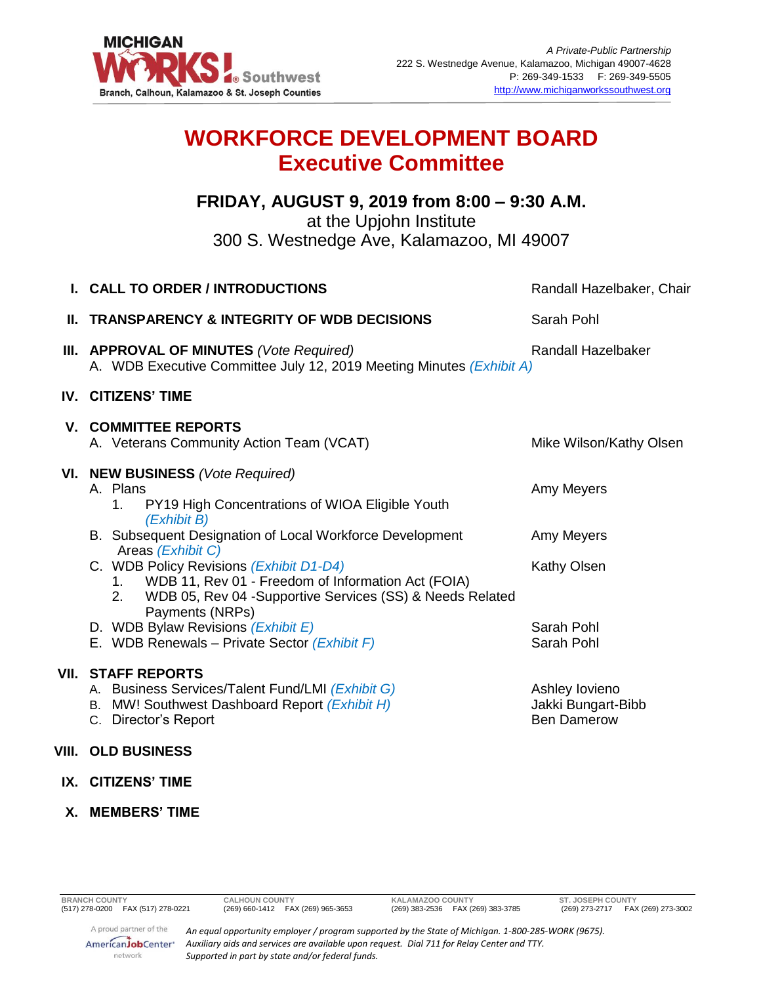

## **WORKFORCE DEVELOPMENT BOARD Executive Committee**

## **FRIDAY, AUGUST 9, 2019 from 8:00 – 9:30 A.M.**

at the Upjohn Institute

300 S. Westnedge Ave, Kalamazoo, MI 49007

| I. CALL TO ORDER / INTRODUCTIONS                                                                                                                                                   | Randall Hazelbaker, Chair                                  |
|------------------------------------------------------------------------------------------------------------------------------------------------------------------------------------|------------------------------------------------------------|
| <b>II. TRANSPARENCY &amp; INTEGRITY OF WDB DECISIONS</b>                                                                                                                           | Sarah Pohl                                                 |
| III. APPROVAL OF MINUTES (Vote Required)<br>A. WDB Executive Committee July 12, 2019 Meeting Minutes (Exhibit A)                                                                   | <b>Randall Hazelbaker</b>                                  |
| <b>IV. CITIZENS' TIME</b>                                                                                                                                                          |                                                            |
| <b>V. COMMITTEE REPORTS</b><br>A. Veterans Community Action Team (VCAT)                                                                                                            | Mike Wilson/Kathy Olsen                                    |
| VI. NEW BUSINESS (Vote Required)<br>A. Plans<br>1. PY19 High Concentrations of WIOA Eligible Youth                                                                                 | Amy Meyers                                                 |
| (Exhibit B)<br>B. Subsequent Designation of Local Workforce Development<br>Areas (Exhibit C)                                                                                       | Amy Meyers                                                 |
| C. WDB Policy Revisions (Exhibit D1-D4)<br>1. WDB 11, Rev 01 - Freedom of Information Act (FOIA)<br>2. WDB 05, Rev 04 -Supportive Services (SS) & Needs Related<br>Payments (NRPs) | Kathy Olsen                                                |
| D. WDB Bylaw Revisions (Exhibit E)<br>E. WDB Renewals - Private Sector (Exhibit F)                                                                                                 | Sarah Pohl<br>Sarah Pohl                                   |
| <b>VII. STAFF REPORTS</b><br>A. Business Services/Talent Fund/LMI (Exhibit G)<br>B. MW! Southwest Dashboard Report (Exhibit H)<br>C. Director's Report                             | Ashley lovieno<br>Jakki Bungart-Bibb<br><b>Ben Damerow</b> |
| VIII. OLD BUSINESS                                                                                                                                                                 |                                                            |
|                                                                                                                                                                                    |                                                            |

- **IX. CITIZENS' TIME**
- **X. MEMBERS' TIME**

network

**BRANCH COUNTY CALHOUN COUNTY KALAMAZOO COUNTY ST. JOSEPH COUNTY**